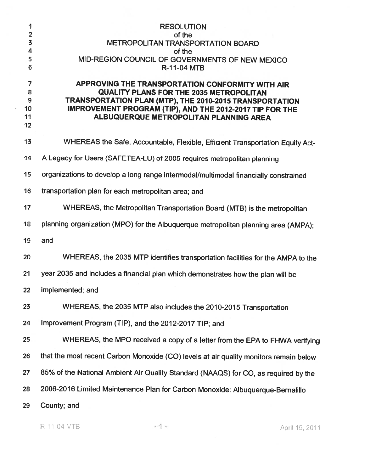| 1<br>$\overline{\mathbf{c}}$               | <b>RESOLUTION</b><br>of the                                                                                                                                                                                                                                         |
|--------------------------------------------|---------------------------------------------------------------------------------------------------------------------------------------------------------------------------------------------------------------------------------------------------------------------|
| $\overline{\mathbf{3}}$                    | <b>METROPOLITAN TRANSPORTATION BOARD</b>                                                                                                                                                                                                                            |
| 4<br>5<br>6                                | of the<br>MID-REGION COUNCIL OF GOVERNMENTS OF NEW MEXICO<br><b>R-11-04 MTB</b>                                                                                                                                                                                     |
| $\overline{7}$<br>8<br>9<br>10<br>11<br>12 | APPROVING THE TRANSPORTATION CONFORMITY WITH AIR<br><b>QUALITY PLANS FOR THE 2035 METROPOLITAN</b><br>TRANSPORTATION PLAN (MTP), THE 2010-2015 TRANSPORTATION<br>IMPROVEMENT PROGRAM (TIP), AND THE 2012-2017 TIP FOR THE<br>ALBUQUERQUE METROPOLITAN PLANNING AREA |
| 13                                         | WHEREAS the Safe, Accountable, Flexible, Efficient Transportation Equity Act-                                                                                                                                                                                       |
| 14                                         | A Legacy for Users (SAFETEA-LU) of 2005 requires metropolitan planning                                                                                                                                                                                              |
| 15                                         | organizations to develop a long range intermodal/multimodal financially constrained                                                                                                                                                                                 |
| 16                                         | transportation plan for each metropolitan area; and                                                                                                                                                                                                                 |
| 17                                         | WHEREAS, the Metropolitan Transportation Board (MTB) is the metropolitan                                                                                                                                                                                            |
| 18                                         | planning organization (MPO) for the Albuquerque metropolitan planning area (AMPA);                                                                                                                                                                                  |
| 19                                         | and                                                                                                                                                                                                                                                                 |
| 20                                         | WHEREAS, the 2035 MTP identifies transportation facilities for the AMPA to the                                                                                                                                                                                      |
| 21                                         | year 2035 and includes a financial plan which demonstrates how the plan will be                                                                                                                                                                                     |
| 22                                         | implemented; and                                                                                                                                                                                                                                                    |
| 23                                         | WHEREAS, the 2035 MTP also includes the 2010-2015 Transportation                                                                                                                                                                                                    |
| 24                                         | Improvement Program (TIP), and the 2012-2017 TIP; and                                                                                                                                                                                                               |
| 25                                         | WHEREAS, the MPO received a copy of a letter from the EPA to FHWA verifying                                                                                                                                                                                         |
| 26                                         | that the most recent Carbon Monoxide (CO) levels at air quality monitors remain below                                                                                                                                                                               |
| 27                                         | 85% of the National Ambient Air Quality Standard (NAAQS) for CO, as required by the                                                                                                                                                                                 |
| 28                                         | 2006-2016 Limited Maintenance Plan for Carbon Monoxide: Albuquerque-Bernalillo                                                                                                                                                                                      |
| 29                                         | County; and                                                                                                                                                                                                                                                         |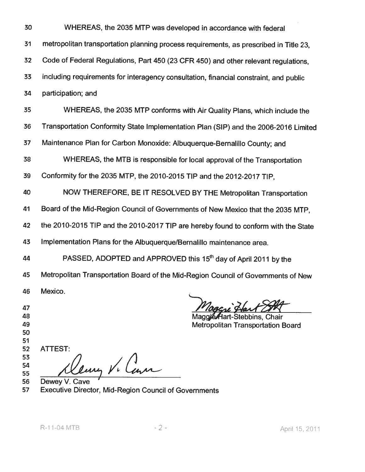| 30 | WHEREAS, the 2035 MTP was developed in accordance with federal                        |
|----|---------------------------------------------------------------------------------------|
| 31 | metropolitan transportation planning process requirements, as prescribed in Title 23, |
| 32 | Code of Federal Regulations, Part 450 (23 CFR 450) and other relevant regulations,    |
| 33 | including requirements for interagency consultation, financial constraint, and public |
| 34 | participation; and                                                                    |
| 35 | WHEREAS, the 2035 MTP conforms with Air Quality Plans, which include the              |
| 36 | Transportation Conformity State Implementation Plan (SIP) and the 2006-2016 Limited   |
| 37 | Maintenance Plan for Carbon Monoxide: Albuquerque-Bernalillo County; and              |
| 38 | WHEREAS, the MTB is responsible for local approval of the Transportation              |
| 39 | Conformity for the 2035 MTP, the 2010-2015 TIP and the 2012-2017 TIP,                 |
| 40 | NOW THEREFORE, BE IT RESOLVED BY THE Metropolitan Transportation                      |
| 41 | Board of the Mid-Region Council of Governments of New Mexico that the 2035 MTP,       |
| 42 | the 2010-2015 TIP and the 2010-2017 TIP are hereby found to conform with the State    |
| 43 | Implementation Plans for the Albuquerque/Bernalillo maintenance area.                 |
| 44 | PASSED, ADOPTED and APPROVED this 15 <sup>th</sup> day of April 2011 by the           |
| 45 | Metropolitan Transportation Board of the Mid-Region Council of Governments of New     |
| 46 | Mexico.                                                                               |
| 47 |                                                                                       |
| 48 | MagoieAlart-Stebbins, Chair                                                           |

47

48 49

50

51

**ATTEST:** 52 53

54 55

Rung V. Com

Dewey V. Cave 56 Executive Director, Mid-Region Council of Governments 57

**Metropolitan Transportation Board**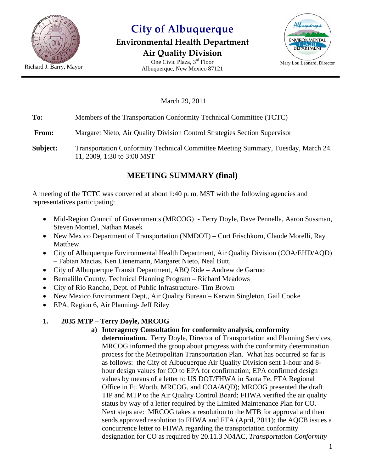

# **City of Albuquerque**

#### **Environmental Health Department Air Quality Division**





March 29, 2011

**To:** Members of the Transportation Conformity Technical Committee (TCTC)

**From:** Margaret Nieto, Air Quality Division Control Strategies Section Supervisor

**Subject:** Transportation Conformity Technical Committee Meeting Summary, Tuesday, March 24. 11, 2009, 1:30 to 3:00 MST

### **MEETING SUMMARY (final)**

A meeting of the TCTC was convened at about 1:40 p. m. MST with the following agencies and representatives participating:

- Mid-Region Council of Governments (MRCOG) Terry Doyle, Dave Pennella, Aaron Sussman, Steven Montiel, Nathan Masek
- New Mexico Department of Transportation (NMDOT) Curt Frischkorn, Claude Morelli, Ray Matthew
- City of Albuquerque Environmental Health Department, Air Quality Division (COA/EHD/AQD) – Fabian Macias, Ken Lienemann, Margaret Nieto, Neal Butt,
- City of Albuquerque Transit Department, ABQ Ride Andrew de Garmo
- Bernalillo County, Technical Planning Program Richard Meadows
- City of Rio Rancho, Dept. of Public Infrastructure- Tim Brown
- New Mexico Environment Dept., Air Quality Bureau Kerwin Singleton, Gail Cooke
- EPA, Region 6, Air Planning- Jeff Riley

#### **1. 2035 MTP – Terry Doyle, MRCOG**

**a) Interagency Consultation for conformity analysis, conformity** 

**determination.** Terry Doyle, Director of Transportation and Planning Services, MRCOG informed the group about progress with the conformity determination process for the Metropolitan Transportation Plan. What has occurred so far is as follows: the City of Albuquerque Air Quality Division sent 1-hour and 8 hour design values for CO to EPA for confirmation; EPA confirmed design values by means of a letter to US DOT/FHWA in Santa Fe, FTA Regional Office in Ft. Worth, MRCOG, and COA/AQD); MRCOG presented the draft TIP and MTP to the Air Quality Control Board; FHWA verified the air quality status by way of a letter required by the Limited Maintenance Plan for CO. Next steps are: MRCOG takes a resolution to the MTB for approval and then sends approved resolution to FHWA and FTA (April, 2011); the AQCB issues a concurrence letter to FHWA regarding the transportation conformity designation for CO as required by 20.11.3 NMAC, *Transportation Conformity*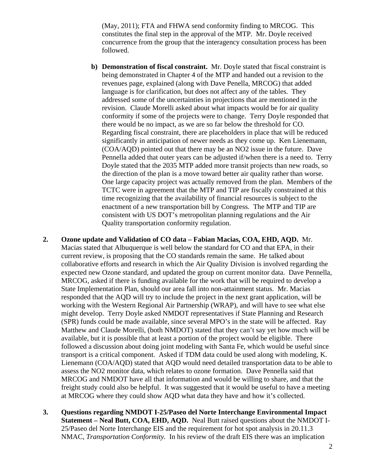(May, 2011); FTA and FHWA send conformity finding to MRCOG. This constitutes the final step in the approval of the MTP. Mr. Doyle received concurrence from the group that the interagency consultation process has been followed.

- **b) Demonstration of fiscal constraint.** Mr. Doyle stated that fiscal constraint is being demonstrated in Chapter 4 of the MTP and handed out a revision to the revenues page, explained (along with Dave Penella, MRCOG) that added language is for clarification, but does not affect any of the tables. They addressed some of the uncertainties in projections that are mentioned in the revision. Claude Morelli asked about what impacts would be for air quality conformity if some of the projects were to change. Terry Doyle responded that there would be no impact, as we are so far below the threshold for CO. Regarding fiscal constraint, there are placeholders in place that will be reduced significantly in anticipation of newer needs as they come up. Ken Lienemann, (COA/AQD) pointed out that there may be an NO2 issue in the future. Dave Pennella added that outer years can be adjusted if/when there is a need to. Terry Doyle stated that the 2035 MTP added more transit projects than new roads, so the direction of the plan is a move toward better air quality rather than worse. One large capacity project was actually removed from the plan. Members of the TCTC were in agreement that the MTP and TIP are fiscally constrained at this time recognizing that the availability of financial resources is subject to the enactment of a new transportation bill by Congress. The MTP and TIP are consistent with US DOT's metropolitan planning regulations and the Air Quality transportation conformity regulation.
- **2. Ozone update and Validation of CO data Fabian Macias, COA, EHD, AQD.** Mr. Macias stated that Albuquerque is well below the standard for CO and that EPA, in their current review, is proposing that the CO standards remain the same. He talked about collaborative efforts and research in which the Air Quality Division is involved regarding the expected new Ozone standard, and updated the group on current monitor data. Dave Pennella, MRCOG, asked if there is funding available for the work that will be required to develop a State Implementation Plan, should our area fall into non-attainment status. Mr. Macias responded that the AQD will try to include the project in the next grant application, will be working with the Western Regional Air Partnership (WRAP), and will have to see what else might develop. Terry Doyle asked NMDOT representatives if State Planning and Research (SPR) funds could be made available, since several MPO's in the state will be affected. Ray Matthew and Claude Morelli, (both NMDOT) stated that they can't say yet how much will be available, but it is possible that at least a portion of the project would be eligible. There followed a discussion about doing joint modeling with Santa Fe, which would be useful since transport is a critical component. Asked if TDM data could be used along with modeling, K. Lienemann (COA/AQD) stated that AQD would need detailed transportation data to be able to assess the NO2 monitor data, which relates to ozone formation. Dave Pennella said that MRCOG and NMDOT have all that information and would be willing to share, and that the freight study could also be helpful. It was suggested that it would be useful to have a meeting at MRCOG where they could show AQD what data they have and how it's collected.
- **3. Questions regarding NMDOT I-25/Paseo del Norte Interchange Environmental Impact Statement – Neal Butt, COA, EHD, AQD.** Neal Butt raised questions about the NMDOT I-25/Paseo del Norte Interchange EIS and the requirement for hot spot analysis in 20.11.3 NMAC, *Transportation Conformity.* In his review of the draft EIS there was an implication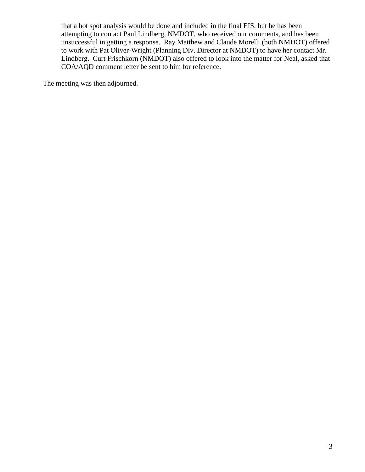that a hot spot analysis would be done and included in the final EIS, but he has been attempting to contact Paul Lindberg, NMDOT, who received our comments, and has been unsuccessful in getting a response. Ray Matthew and Claude Morelli (both NMDOT) offered to work with Pat Oliver-Wright (Planning Div. Director at NMDOT) to have her contact Mr. Lindberg. Curt Frischkorn (NMDOT) also offered to look into the matter for Neal, asked that COA/AQD comment letter be sent to him for reference.

The meeting was then adjourned.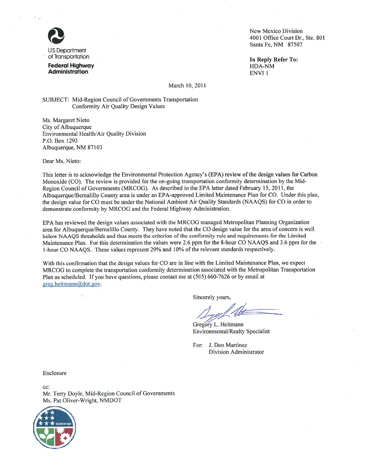

U.S. Department of Transportation

**Federal Highway Administration** 

New Mexico Division 4001 Office Court Dr., Ste. 801 Santa Fe, NM 87507

In Reply Refer To: HDA-NM ENVI<sub>1</sub>

March 10, 2011

SUBJECT: Mid-Region Council of Governments Transportation Conformity Air Quality Design Values

Ms. Margaret Nieto City of Albuquerque Environmental Health/Air Quality Division P.O. Box 1293 Albuquerque, NM 87103

Dear Ms. Nieto:

This letter is to acknowledge the Environmental Protection Agency's (EPA) review of the design values for Carbon Monoxide (CO). The review is provided for the on-going transportation conformity determination by the Mid-Region Council of Governments (MRCOG). As described in the EPA letter dated February 15, 2011, the Albuquerque/Bernalillo County area is under an EPA-approved Limited Maintenance Plan for CO. Under this plan, the design value for CO must be under the National Ambient Air Quality Standards (NAAQS) for CO in order to demonstrate conformity by MRCOG and the Federal Highway Administration.

EPA has reviewed the design values associated with the MRCOG managed Metropolitan Planning Organization area for Albuquerque/Bernalillo County. They have noted that the CO design value for the area of concern is well below NAAQS thresholds and thus meets the criterion of the conformity rule and requirements for the Limited Maintenance Plan. For this determination the values were 2.6 ppm for the 8-hour CO NAAQS and 3.6 ppm for the 1-hour CO NAAOS. These values represent 29% and 10% of the relevant standards respectively.

With this confirmation that the design values for CO are in line with the Limited Maintenance Plan, we expect MRCOG to complete the transportation conformity determination associated with the Metropolitan Transportation Plan as scheduled. If you have questions, please contact me at (505) 660-7626 or by email at greg.heitmann@dot.gov.

Sincerely yours,

Gregory L. Heitmann Environmental/Realty Specialist

For: J. Don Martinez **Division Administrator** 

Enclosure

 $cc$ : Mr. Terry Doyle, Mid-Region Council of Governments Ms. Pat Oliver-Wright, NMDOT